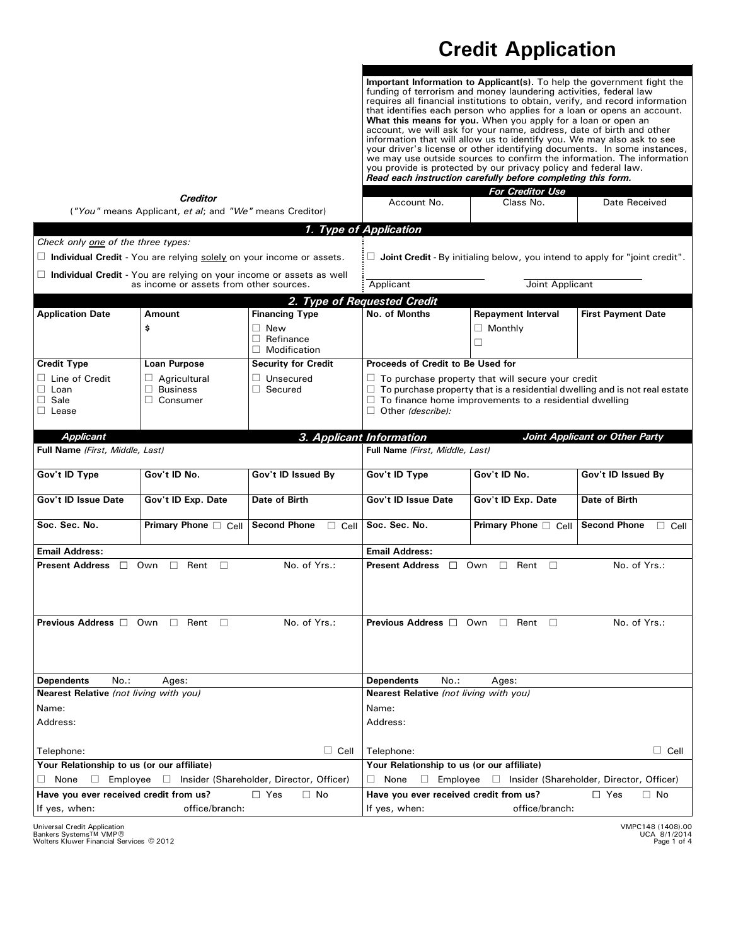## **Credit Application**

**Important Information to Applicant(s).** To help the government fight the funding of terrorism and money laundering activities, federal law requires all financial institutions to obtain, verify, and record information that identifies each person who applies for a loan or opens an account. **What this means for you.** When you apply for a loan or open an account, we will ask for your name, address, date of birth and other information that will allow us to identify you. We may also ask to see your driver's license or other identifying documents. In some instances, we may use outside sources to confirm the information. The information you provide is protected by our privacy policy and federal law. *Read each instruction carefully before completing this form.*

| <b>Creditor</b><br>("You" means Applicant, et al; and "We" means Creditor)                                             |                                                                             |                                                       | Account No.                                                                                                                                                                                                                                | <b>For Creditor Use</b><br>Class No. | Date Received                                                                      |  |
|------------------------------------------------------------------------------------------------------------------------|-----------------------------------------------------------------------------|-------------------------------------------------------|--------------------------------------------------------------------------------------------------------------------------------------------------------------------------------------------------------------------------------------------|--------------------------------------|------------------------------------------------------------------------------------|--|
|                                                                                                                        |                                                                             |                                                       | 1. Type of Application                                                                                                                                                                                                                     |                                      |                                                                                    |  |
| Check only one of the three types:                                                                                     |                                                                             |                                                       |                                                                                                                                                                                                                                            |                                      |                                                                                    |  |
|                                                                                                                        | $\Box$ Individual Credit - You are relying solely on your income or assets. |                                                       |                                                                                                                                                                                                                                            |                                      | $\Box$ Joint Credit - By initialing below, you intend to apply for "joint credit". |  |
|                                                                                                                        |                                                                             |                                                       |                                                                                                                                                                                                                                            |                                      |                                                                                    |  |
| $\Box$ Individual Credit - You are relying on your income or assets as well<br>as income or assets from other sources. |                                                                             |                                                       | Joint Applicant<br>Applicant                                                                                                                                                                                                               |                                      |                                                                                    |  |
|                                                                                                                        |                                                                             |                                                       |                                                                                                                                                                                                                                            |                                      |                                                                                    |  |
| <b>Application Date</b>                                                                                                | <b>Amount</b>                                                               | <b>Financing Type</b>                                 | 2. Type of Requested Credit<br>No. of Months                                                                                                                                                                                               | <b>Repayment Interval</b>            | <b>First Payment Date</b>                                                          |  |
|                                                                                                                        |                                                                             |                                                       |                                                                                                                                                                                                                                            |                                      |                                                                                    |  |
|                                                                                                                        | \$                                                                          | $\Box$ New<br>$\Box$ Refinance<br>$\Box$ Modification |                                                                                                                                                                                                                                            | $\Box$ Monthly<br>$\Box$             |                                                                                    |  |
| <b>Credit Type</b>                                                                                                     | <b>Loan Purpose</b>                                                         | <b>Security for Credit</b>                            | Proceeds of Credit to Be Used for                                                                                                                                                                                                          |                                      |                                                                                    |  |
| $\Box$ Line of Credit<br>$\square$ Loan<br>$\Box$ Sale<br>$\Box$ Lease                                                 | $\Box$ Agricultural<br>$\Box$ Business<br>$\Box$ Consumer                   | $\Box$ Unsecured<br>$\Box$ Secured                    | $\Box$ To purchase property that will secure your credit<br>$\Box$ To purchase property that is a residential dwelling and is not real estate<br>$\Box$ To finance home improvements to a residential dwelling<br>$\Box$ Other (describe): |                                      |                                                                                    |  |
| <b>Applicant</b>                                                                                                       |                                                                             |                                                       | 3. Applicant Information                                                                                                                                                                                                                   |                                      | Joint Applicant or Other Party                                                     |  |
| Full Name (First, Middle, Last)                                                                                        |                                                                             |                                                       | Full Name (First, Middle, Last)                                                                                                                                                                                                            |                                      |                                                                                    |  |
| Gov't ID Type                                                                                                          | Gov't ID No.                                                                | Gov't ID Issued By                                    | Gov't ID Type                                                                                                                                                                                                                              | Gov't ID No.                         | Gov't ID Issued By                                                                 |  |
| Gov't ID Issue Date                                                                                                    | Gov't ID Exp. Date                                                          | Date of Birth                                         | Gov't ID Issue Date                                                                                                                                                                                                                        | Gov't ID Exp. Date                   | Date of Birth                                                                      |  |
| Soc. Sec. No.                                                                                                          | <b>Primary Phone</b> $\Box$ Cell                                            | <b>Second Phone</b><br>$\Box$ Cell                    | Soc. Sec. No.                                                                                                                                                                                                                              | <b>Primary Phone</b> $\Box$ Cell     | <b>Second Phone</b><br>$\Box$ Cell                                                 |  |
| <b>Email Address:</b>                                                                                                  |                                                                             |                                                       | <b>Email Address:</b>                                                                                                                                                                                                                      |                                      |                                                                                    |  |
| <b>Present Address</b> $\Box$                                                                                          | Own<br>Rent<br>П<br>П                                                       | No. of Yrs.:                                          | <b>Present Address</b><br>$\Box$                                                                                                                                                                                                           | Own<br>Rent<br>$\Box$<br>П           | No. of Yrs.:                                                                       |  |
|                                                                                                                        |                                                                             |                                                       |                                                                                                                                                                                                                                            |                                      |                                                                                    |  |
| <b>Previous Address</b> □ Own                                                                                          | $\Box$<br>Rent<br>П                                                         | No. of Yrs.:                                          | <b>Previous Address</b> □ Own                                                                                                                                                                                                              | Rent<br>$\Box$<br>П                  | No. of Yrs.:                                                                       |  |
| No.:<br><b>Dependents</b>                                                                                              | Ages:                                                                       |                                                       | No.:<br><b>Dependents</b><br>Ages:                                                                                                                                                                                                         |                                      |                                                                                    |  |
| Nearest Relative (not living with you)                                                                                 |                                                                             |                                                       | Nearest Relative (not living with you)                                                                                                                                                                                                     |                                      |                                                                                    |  |
| Name:                                                                                                                  |                                                                             |                                                       | Name:                                                                                                                                                                                                                                      |                                      |                                                                                    |  |
| Address:                                                                                                               |                                                                             |                                                       | Address:                                                                                                                                                                                                                                   |                                      |                                                                                    |  |
| Telephone:                                                                                                             |                                                                             | $\Box$ Cell                                           | Telephone:                                                                                                                                                                                                                                 |                                      | $\Box$ Cell                                                                        |  |
| Your Relationship to us (or our affiliate)                                                                             |                                                                             |                                                       | Your Relationship to us (or our affiliate)                                                                                                                                                                                                 |                                      |                                                                                    |  |
| $\Box$ None<br>$\Box$ Employee $\Box$<br>Insider (Shareholder, Director, Officer)                                      |                                                                             |                                                       | None<br>$\Box$ Employee $\Box$ Insider (Shareholder, Director, Officer)<br>⊔                                                                                                                                                               |                                      |                                                                                    |  |
| Have you ever received credit from us?                                                                                 |                                                                             | $\Box$ Yes<br>$\Box$ No                               | Have you ever received credit from us?                                                                                                                                                                                                     |                                      | $\Box$ Yes<br>$\Box$ No                                                            |  |
| If yes, when:<br>office/branch:                                                                                        |                                                                             |                                                       | If yes, when:<br>office/branch:                                                                                                                                                                                                            |                                      |                                                                                    |  |

Universal Credit Application<br>Bankers Systems™ VMP®<br>Wolters Kluwer Financial Services © 2012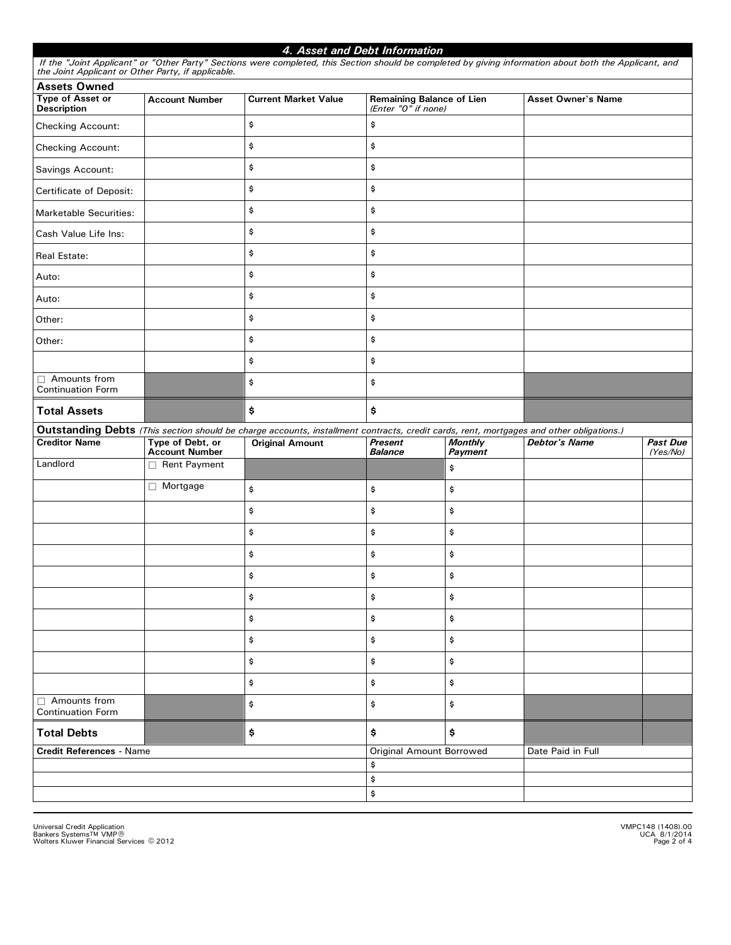| the Joint Applicant or Other Party, if applicable.                   |                                           | If the "Joint Applicant" or "Other Party" Sections were completed, this Section should be completed by giving information about both the Applicant, and |                                                         |                           |                           |                             |
|----------------------------------------------------------------------|-------------------------------------------|---------------------------------------------------------------------------------------------------------------------------------------------------------|---------------------------------------------------------|---------------------------|---------------------------|-----------------------------|
| <b>Assets Owned</b><br><b>Type of Asset or</b><br><b>Description</b> | <b>Account Number</b>                     | <b>Current Market Value</b>                                                                                                                             | <b>Remaining Balance of Lien</b><br>(Enter "O" if none) |                           | <b>Asset Owner's Name</b> |                             |
| Checking Account:                                                    |                                           | \$                                                                                                                                                      | \$                                                      |                           |                           |                             |
| Checking Account:                                                    |                                           | \$                                                                                                                                                      | \$                                                      |                           |                           |                             |
| Savings Account:                                                     |                                           | \$                                                                                                                                                      | \$                                                      |                           |                           |                             |
| Certificate of Deposit:                                              |                                           | \$                                                                                                                                                      | \$                                                      |                           |                           |                             |
| <b>Marketable Securities:</b>                                        |                                           | \$                                                                                                                                                      | \$                                                      |                           |                           |                             |
| Cash Value Life Ins:                                                 |                                           | \$                                                                                                                                                      | \$                                                      |                           |                           |                             |
| Real Estate:                                                         |                                           | \$                                                                                                                                                      | \$                                                      |                           |                           |                             |
| Auto:                                                                |                                           | \$                                                                                                                                                      | \$                                                      |                           |                           |                             |
| Auto:                                                                |                                           | \$                                                                                                                                                      | \$                                                      |                           |                           |                             |
| Other:                                                               |                                           | \$                                                                                                                                                      | \$                                                      |                           |                           |                             |
| Other:                                                               |                                           | \$                                                                                                                                                      | \$                                                      |                           |                           |                             |
|                                                                      |                                           | \$                                                                                                                                                      | \$                                                      |                           |                           |                             |
| □ Amounts from<br><b>Continuation Form</b>                           |                                           | \$                                                                                                                                                      | \$                                                      |                           |                           |                             |
| <b>Total Assets</b>                                                  |                                           | \$                                                                                                                                                      | \$                                                      |                           |                           |                             |
|                                                                      |                                           | Outstanding Debts (This section should be charge accounts, installment contracts, credit cards, rent, mortgages and other obligations.)                 |                                                         |                           |                           |                             |
| <b>Creditor Name</b>                                                 | Type of Debt, or<br><b>Account Number</b> | <b>Original Amount</b>                                                                                                                                  | <b>Present</b><br><b>Balance</b>                        | <b>Monthly</b><br>Payment | <b>Debtor's Name</b>      | <b>Past Due</b><br>(Yes/No) |
| Landlord                                                             | $\Box$ Rent Payment                       |                                                                                                                                                         |                                                         | \$                        |                           |                             |
|                                                                      | □ Mortgage                                | \$                                                                                                                                                      | \$                                                      | \$                        |                           |                             |
|                                                                      |                                           | \$                                                                                                                                                      | \$                                                      | \$                        |                           |                             |
|                                                                      |                                           |                                                                                                                                                         |                                                         |                           |                           |                             |
|                                                                      |                                           | \$                                                                                                                                                      | \$                                                      | \$                        |                           |                             |
|                                                                      |                                           | \$                                                                                                                                                      | \$                                                      | \$                        |                           |                             |
|                                                                      |                                           | \$                                                                                                                                                      | \$                                                      | \$                        |                           |                             |
|                                                                      |                                           | \$                                                                                                                                                      | \$                                                      | \$                        |                           |                             |
|                                                                      |                                           | \$                                                                                                                                                      | \$                                                      | \$                        |                           |                             |
|                                                                      |                                           | \$                                                                                                                                                      | \$                                                      | \$                        |                           |                             |
|                                                                      |                                           | \$                                                                                                                                                      | \$                                                      | \$                        |                           |                             |
|                                                                      |                                           | \$                                                                                                                                                      | \$                                                      | \$                        |                           |                             |
| □ Amounts from<br><b>Continuation Form</b>                           |                                           | \$                                                                                                                                                      | \$                                                      | \$                        |                           |                             |
| <b>Total Debts</b>                                                   |                                           | \$                                                                                                                                                      | \$                                                      | \$                        |                           |                             |
| <b>Credit References - Name</b>                                      |                                           |                                                                                                                                                         | Original Amount Borrowed                                |                           | Date Paid in Full         |                             |
|                                                                      |                                           |                                                                                                                                                         | \$                                                      |                           |                           |                             |
|                                                                      |                                           |                                                                                                                                                         | \$<br>\$                                                |                           |                           |                             |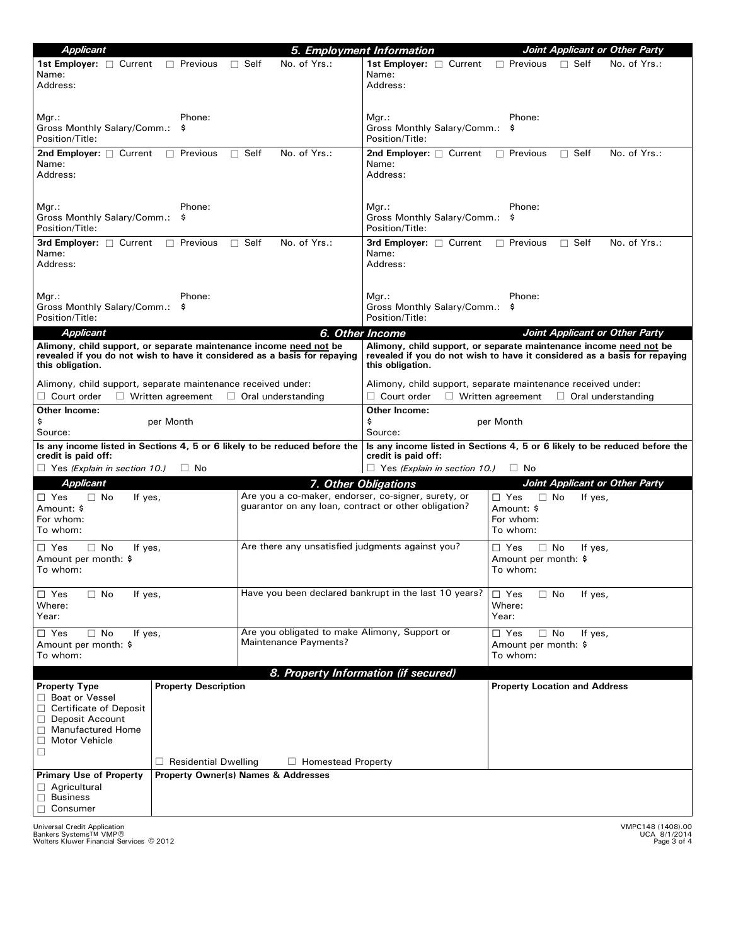| <b>Applicant</b>                                                                                                                                                                                               |                                                                                                             | 5. Employment Information                                                                                                                                           | Joint Applicant or Other Party                                            |  |
|----------------------------------------------------------------------------------------------------------------------------------------------------------------------------------------------------------------|-------------------------------------------------------------------------------------------------------------|---------------------------------------------------------------------------------------------------------------------------------------------------------------------|---------------------------------------------------------------------------|--|
| <b>1st Employer:</b> □ Current<br>$\Box$ Previous<br>Name:<br>Address:                                                                                                                                         | No. of Yrs.:<br>$\Box$ Self                                                                                 | 1st Employer: $\Box$ Current<br>Name:<br>Address:                                                                                                                   | $\Box$ Previous<br>$\Box$ Self<br>No. of Yrs.:                            |  |
| Phone:<br>Mgr.:<br>Gross Monthly Salary/Comm.:<br>\$<br>Position/Title:                                                                                                                                        |                                                                                                             | $Mgr.$ :<br>Gross Monthly Salary/Comm.:<br>Position/Title:                                                                                                          | Phone:<br>\$                                                              |  |
| 2nd Employer: $\Box$ Current<br>$\Box$ Previous<br>Name:<br>Address:                                                                                                                                           | No. of Yrs.:<br>$\Box$ Self                                                                                 | 2nd Employer: $\Box$ Current<br>Name:<br>Address:                                                                                                                   | $\Box$ Previous<br>$\Box$ Self<br>No. of Yrs.:                            |  |
| Phone:<br>Mgr.:<br>Gross Monthly Salary/Comm.:<br>\$.<br>Position/Title:                                                                                                                                       |                                                                                                             | $Mgr.$ :<br>Gross Monthly Salary/Comm.: \$<br>Position/Title:                                                                                                       | Phone:                                                                    |  |
| 3rd Employer: $\Box$ Current<br>$\Box$ Previous<br>Name:<br>Address:                                                                                                                                           | $\Box$ Self<br>No. of Yrs.:                                                                                 | 3rd Employer: $\Box$ Current<br>Name:<br>Address:                                                                                                                   | No. of Yrs.:<br>$\Box$ Previous<br>$\Box$ Self                            |  |
| Phone:<br>Mgr.:<br>Gross Monthly Salary/Comm.:<br>\$<br>Position/Title:                                                                                                                                        |                                                                                                             | $Mgr.$ :<br>Gross Monthly Salary/Comm.: \$<br>Position/Title:                                                                                                       | Phone:                                                                    |  |
| <b>Applicant</b><br>Alimony, child support, or separate maintenance income need not be                                                                                                                         |                                                                                                             | 6. Other Income                                                                                                                                                     | Joint Applicant or Other Party                                            |  |
| revealed if you do not wish to have it considered as a basis for repaying<br>this obligation.                                                                                                                  |                                                                                                             | Alimony, child support, or separate maintenance income need not be<br>revealed if you do not wish to have it considered as a basis for repaying<br>this obligation. |                                                                           |  |
| Alimony, child support, separate maintenance received under:                                                                                                                                                   |                                                                                                             | Alimony, child support, separate maintenance received under:                                                                                                        |                                                                           |  |
| $\Box$ Court order<br>$\Box$ Written agreement                                                                                                                                                                 | $\Box$ Oral understanding                                                                                   | $\Box$ Court order                                                                                                                                                  | $\Box$ Written agreement $\Box$ Oral understanding                        |  |
| Other Income:                                                                                                                                                                                                  |                                                                                                             | Other Income:                                                                                                                                                       |                                                                           |  |
| \$<br>per Month<br>Source:                                                                                                                                                                                     |                                                                                                             | \$<br>per Month<br>Source:                                                                                                                                          |                                                                           |  |
| Is any income listed in Sections 4, 5 or 6 likely to be reduced before the<br>credit is paid off:<br>$\Box$ Yes (Explain in section 10.)<br>$\Box$ No                                                          |                                                                                                             | Is any income listed in Sections 4, 5 or 6 likely to be reduced before the<br>credit is paid off:<br>$\Box$ Yes (Explain in section 10.)<br>$\Box$ No               |                                                                           |  |
| Applicant                                                                                                                                                                                                      |                                                                                                             | 7. Other Obligations                                                                                                                                                | Joint Applicant or Other Party                                            |  |
| $\Box$ Yes<br>$\Box$ No<br>If yes,<br>Amount: \$<br>For whom:<br>To whom:                                                                                                                                      | Are you a co-maker, endorser, co-signer, surety, or<br>quarantor on any loan, contract or other obligation? |                                                                                                                                                                     | $\Box$ Yes<br>$\Box$ No<br>If yes,<br>Amount: \$<br>For whom:<br>To whom: |  |
| $\Box$ Yes<br>$\Box$ No<br>If yes,<br>Amount per month: \$<br>To whom:                                                                                                                                         | Are there any unsatisfied judgments against you?                                                            |                                                                                                                                                                     | $\Box$ Yes<br>$\Box$ No<br>If yes,<br>Amount per month: \$<br>To whom:    |  |
| $\Box$ Yes<br>$\Box$ No<br>If yes,<br>Where:<br>Year:                                                                                                                                                          | Have you been declared bankrupt in the last 10 years?                                                       |                                                                                                                                                                     | $\Box$ Yes<br>$\Box$ No<br>If yes,<br>Where:<br>Year:                     |  |
| $\Box$ Yes<br>$\Box$ No<br>If yes,<br>Amount per month: \$<br>To whom:                                                                                                                                         | Are you obligated to make Alimony, Support or<br>Maintenance Payments?                                      |                                                                                                                                                                     | $\Box$ Yes<br>$\Box$ No<br>If yes,<br>Amount per month: \$<br>To whom:    |  |
|                                                                                                                                                                                                                |                                                                                                             | 8. Property Information (if secured)                                                                                                                                |                                                                           |  |
| <b>Property Description</b><br><b>Property Type</b><br>□ Boat or Vessel<br>□ Certificate of Deposit<br>□ Deposit Account<br>$\Box$ Manufactured Home<br>Motor Vehicle<br>$\Box$<br>$\Box$ Residential Dwelling | $\Box$ Homestead Property                                                                                   |                                                                                                                                                                     | <b>Property Location and Address</b>                                      |  |
| <b>Primary Use of Property</b>                                                                                                                                                                                 | <b>Property Owner(s) Names &amp; Addresses</b>                                                              |                                                                                                                                                                     |                                                                           |  |
| $\Box$ Agricultural<br>$\Box$ Business<br>Consumer                                                                                                                                                             |                                                                                                             |                                                                                                                                                                     |                                                                           |  |

Universal Credit Application<br>Bankers Systems™ VMP®<br>Wolters Kluwer Financial Services © 2012

VMPC148 (1408).00 UCA 8/1/2014

, Page 3 of 4 \* VMP -